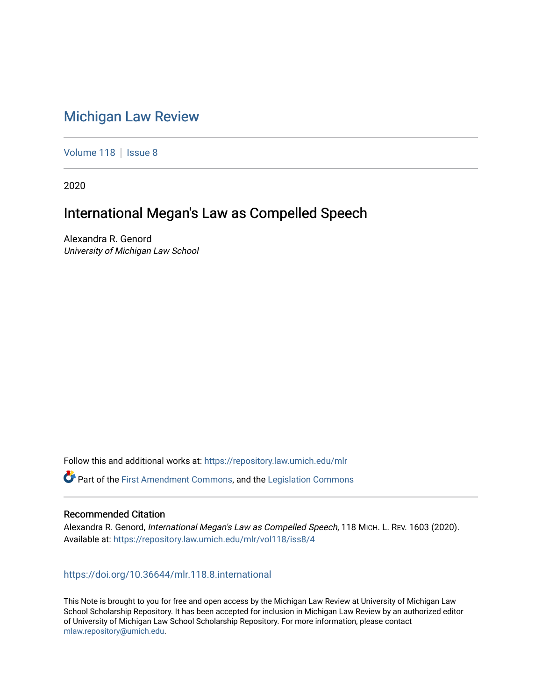# [Michigan Law Review](https://repository.law.umich.edu/mlr)

[Volume 118](https://repository.law.umich.edu/mlr/vol118) | [Issue 8](https://repository.law.umich.edu/mlr/vol118/iss8)

2020

## International Megan's Law as Compelled Speech

Alexandra R. Genord University of Michigan Law School

Follow this and additional works at: [https://repository.law.umich.edu/mlr](https://repository.law.umich.edu/mlr?utm_source=repository.law.umich.edu%2Fmlr%2Fvol118%2Fiss8%2F4&utm_medium=PDF&utm_campaign=PDFCoverPages) 

Part of the [First Amendment Commons,](http://network.bepress.com/hgg/discipline/1115?utm_source=repository.law.umich.edu%2Fmlr%2Fvol118%2Fiss8%2F4&utm_medium=PDF&utm_campaign=PDFCoverPages) and the [Legislation Commons](http://network.bepress.com/hgg/discipline/859?utm_source=repository.law.umich.edu%2Fmlr%2Fvol118%2Fiss8%2F4&utm_medium=PDF&utm_campaign=PDFCoverPages) 

## Recommended Citation

Alexandra R. Genord, International Megan's Law as Compelled Speech, 118 MICH. L. REV. 1603 (2020). Available at: [https://repository.law.umich.edu/mlr/vol118/iss8/4](https://repository.law.umich.edu/mlr/vol118/iss8/4?utm_source=repository.law.umich.edu%2Fmlr%2Fvol118%2Fiss8%2F4&utm_medium=PDF&utm_campaign=PDFCoverPages) 

## <https://doi.org/10.36644/mlr.118.8.international>

This Note is brought to you for free and open access by the Michigan Law Review at University of Michigan Law School Scholarship Repository. It has been accepted for inclusion in Michigan Law Review by an authorized editor of University of Michigan Law School Scholarship Repository. For more information, please contact [mlaw.repository@umich.edu.](mailto:mlaw.repository@umich.edu)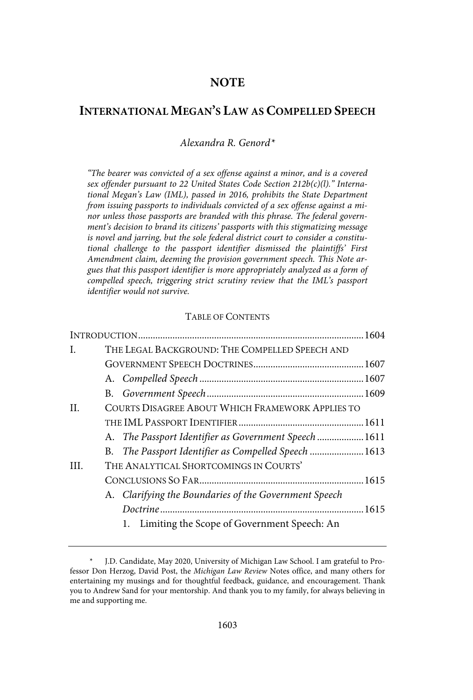## **NOTE**

## **INTERNATIONAL MEGAN'S LAW AS COMPELLED SPEECH**

Alexandra R. Genord\*

"The bearer was convicted of a sex offense against a minor, and is a covered sex offender pursuant to 22 United States Code Section 212b(c)(l)." International Megan's Law (IML), passed in 2016, prohibits the State Department from issuing passports to individuals convicted of a sex offense against a minor unless those passports are branded with this phrase. The federal government's decision to brand its citizens' passports with this stigmatizing message is novel and jarring, but the sole federal district court to consider a constitutional challenge to the passport identifier dismissed the plaintiffs' First Amendment claim, deeming the provision government speech. This Note argues that this passport identifier is more appropriately analyzed as a form of compelled speech, triggering strict scrutiny review that the IML's passport identifier would not survive.

## TABLE OF CONTENTS

| L.  | THE LEGAL BACKGROUND: THE COMPELLED SPEECH AND        |
|-----|-------------------------------------------------------|
|     |                                                       |
|     |                                                       |
|     |                                                       |
| II. | COURTS DISAGREE ABOUT WHICH FRAMEWORK APPLIES TO      |
|     |                                                       |
|     | A. The Passport Identifier as Government Speech  1611 |
|     | B. The Passport Identifier as Compelled Speech  1613  |
| HL. | THE ANALYTICAL SHORTCOMINGS IN COURTS'                |
|     |                                                       |
|     | A. Clarifying the Boundaries of the Government Speech |
|     |                                                       |
|     | Limiting the Scope of Government Speech: An<br>1.     |

J.D. Candidate, May 2020, University of Michigan Law School. I am grateful to Professor Don Herzog, David Post, the Michigan Law Review Notes office, and many others for entertaining my musings and for thoughtful feedback, guidance, and encouragement. Thank you to Andrew Sand for your mentorship. And thank you to my family, for always believing in me and supporting me.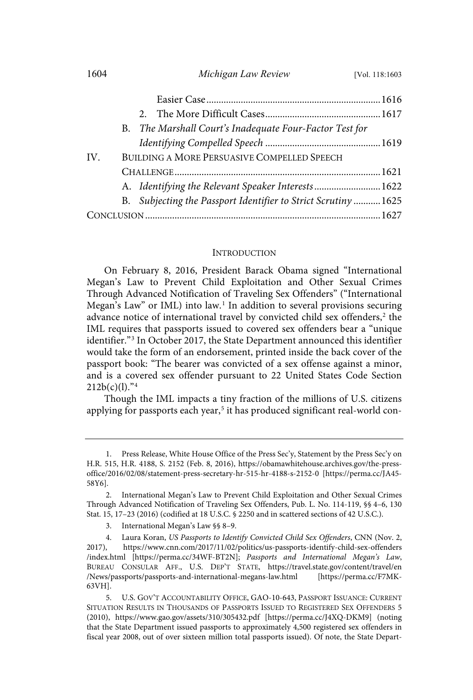|     |                                             | B. The Marshall Court's Inadequate Four-Factor Test for        |  |
|-----|---------------------------------------------|----------------------------------------------------------------|--|
|     |                                             |                                                                |  |
| IV. | BUILDING A MORE PERSUASIVE COMPELLED SPEECH |                                                                |  |
|     |                                             |                                                                |  |
|     |                                             | A. Identifying the Relevant Speaker Interests 1622             |  |
|     |                                             | B. Subjecting the Passport Identifier to Strict Scrutiny  1625 |  |
|     |                                             |                                                                |  |

#### **INTRODUCTION**

On February 8, 2016, President Barack Obama signed "International Megan's Law to Prevent Child Exploitation and Other Sexual Crimes Through Advanced Notification of Traveling Sex Offenders" ("International Megan's Law" or IML) into law.<sup>1</sup> In addition to several provisions securing advance notice of international travel by convicted child sex offenders,<sup>2</sup> the IML requires that passports issued to covered sex offenders bear a "unique identifier."<sup>3</sup> In October 2017, the State Department announced this identifier would take the form of an endorsement, printed inside the back cover of the passport book: "The bearer was convicted of a sex offense against a minor, and is a covered sex offender pursuant to 22 United States Code Section 212b(c)(l)." 4

Though the IML impacts a tiny fraction of the millions of U.S. citizens applying for passports each year,<sup>5</sup> it has produced significant real-world con-

<sup>1.</sup> Press Release, White House Office of the Press Sec'y, Statement by the Press Sec'y on H.R. 515, H.R. 4188, S. 2152 (Feb. 8, 2016), https://obamawhitehouse.archives.gov/the-pressoffice/2016/02/08/statement-press-secretary-hr-515-hr-4188-s-2152-0 [https://perma.cc/JA45- 58Y6].

<sup>2.</sup> International Megan's Law to Prevent Child Exploitation and Other Sexual Crimes Through Advanced Notification of Traveling Sex Offenders, Pub. L. No. 114-119, §§ 4–6, 130 Stat. 15, 17–23 (2016) (codified at 18 U.S.C. § 2250 and in scattered sections of 42 U.S.C.).

<sup>3.</sup> International Megan's Law §§ 8–9.

<sup>4.</sup> Laura Koran, US Passports to Identify Convicted Child Sex Offenders, CNN (Nov. 2, 2017), https://www.cnn.com/2017/11/02/politics/us-passports-identify-child-sex-offenders /index.html [https://perma.cc/34WF-BT2N]; Passports and International Megan's Law, BUREAU CONSULAR AFF., U.S. DEP'T STATE, https://travel.state.gov/content/travel/en /News/passports/passports-and-international-megans-law.html 63VH].

<sup>5.</sup> U.S. GOV'T ACCOUNTABILITY OFFICE, GAO-10-643, PASSPORT ISSUANCE: CURRENT SITUATION RESULTS IN THOUSANDS OF PASSPORTS ISSUED TO REGISTERED SEX OFFENDERS 5 (2010), https://www.gao.gov/assets/310/305432.pdf [https://perma.cc/J4XQ-DKM9] (noting that the State Department issued passports to approximately 4,500 registered sex offenders in fiscal year 2008, out of over sixteen million total passports issued). Of note, the State Depart-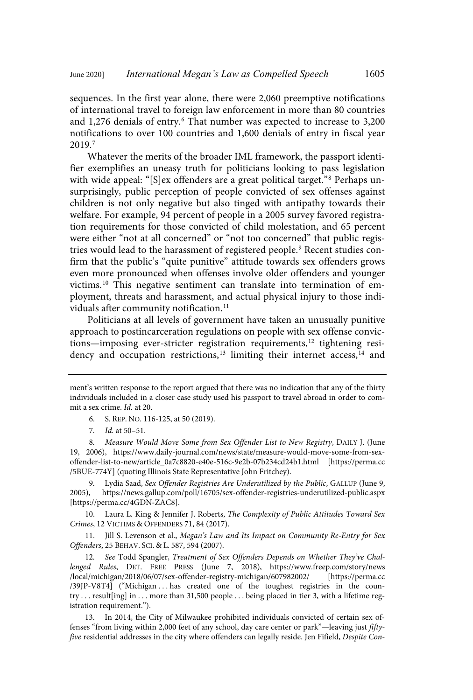sequences. In the first year alone, there were 2,060 preemptive notifications of international travel to foreign law enforcement in more than 80 countries and 1,276 denials of entry.<sup>6</sup> That number was expected to increase to 3,200 notifications to over 100 countries and 1,600 denials of entry in fiscal year 2019.<sup>7</sup>

Whatever the merits of the broader IML framework, the passport identifier exemplifies an uneasy truth for politicians looking to pass legislation with wide appeal: "[S]ex offenders are a great political target." <sup>8</sup> Perhaps unsurprisingly, public perception of people convicted of sex offenses against children is not only negative but also tinged with antipathy towards their welfare. For example, 94 percent of people in a 2005 survey favored registration requirements for those convicted of child molestation, and 65 percent were either "not at all concerned" or "not too concerned" that public registries would lead to the harassment of registered people. <sup>9</sup> Recent studies confirm that the public's "quite punitive" attitude towards sex offenders grows even more pronounced when offenses involve older offenders and younger victims.<sup>10</sup> This negative sentiment can translate into termination of employment, threats and harassment, and actual physical injury to those individuals after community notification.<sup>11</sup>

Politicians at all levels of government have taken an unusually punitive approach to postincarceration regulations on people with sex offense convictions—imposing ever-stricter registration requirements, $^{12}$  tightening residency and occupation restrictions,<sup>13</sup> limiting their internet access,<sup>14</sup> and

8. Measure Would Move Some from Sex Offender List to New Registry, DAILY J. (June 19, 2006), https://www.daily-journal.com/news/state/measure-would-move-some-from-sexoffender-list-to-new/article\_0a7c8820-e40e-516c-9e2b-07b234cd24b1.html [https://perma.cc /5BUE-774Y] (quoting Illinois State Representative John Fritchey).

9. Lydia Saad, Sex Offender Registries Are Underutilized by the Public, GALLUP (June 9, 2005), https://news.gallup.com/poll/16705/sex-offender-registries-underutilized-public.aspx [https://perma.cc/4GDN-ZAC8].

10. Laura L. King & Jennifer J. Roberts, The Complexity of Public Attitudes Toward Sex Crimes, 12 VICTIMS & OFFENDERS 71, 84 (2017).

11. Jill S. Levenson et al., Megan's Law and Its Impact on Community Re-Entry for Sex Offenders, 25 BEHAV. SCI. & L. 587, 594 (2007).

12. See Todd Spangler, Treatment of Sex Offenders Depends on Whether They've Challenged Rules, DET. FREE PRESS (June 7, 2018), https://www.freep.com/story/news /local/michigan/2018/06/07/sex-offender-registry-michigan/607982002/ [https://perma.cc /39JP-V8T4] ("Michigan . . . has created one of the toughest registries in the country . . . result[ing] in . . . more than 31,500 people . . . being placed in tier 3, with a lifetime registration requirement.").

13. In 2014, the City of Milwaukee prohibited individuals convicted of certain sex offenses "from living within 2,000 feet of any school, day care center or park"—leaving just fiftyfive residential addresses in the city where offenders can legally reside. Jen Fifield, Despite Con-

ment's written response to the report argued that there was no indication that any of the thirty individuals included in a closer case study used his passport to travel abroad in order to commit a sex crime. Id. at 20.

<sup>6.</sup> S. REP. NO. 116-125, at 50 (2019).

<sup>7</sup>. Id. at 50–51.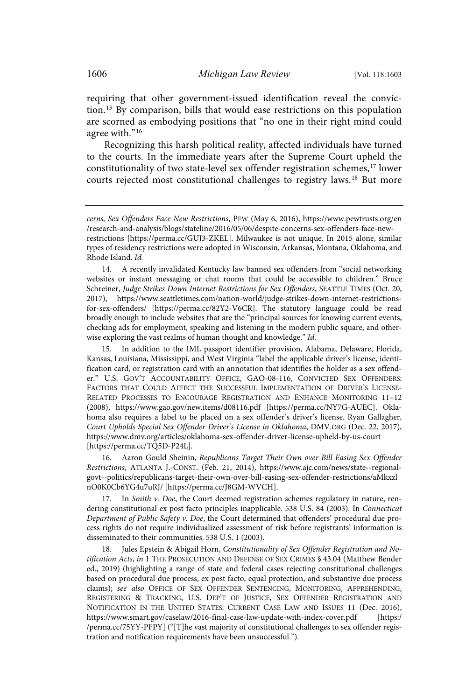requiring that other government-issued identification reveal the conviction. <sup>15</sup> By comparison, bills that would ease restrictions on this population are scorned as embodying positions that "no one in their right mind could agree with."<sup>16</sup>

Recognizing this harsh political reality, affected individuals have turned to the courts. In the immediate years after the Supreme Court upheld the constitutionality of two state-level sex offender registration schemes,<sup>17</sup> lower courts rejected most constitutional challenges to registry laws.<sup>18</sup> But more

15. In addition to the IML passport identifier provision, Alabama, Delaware, Florida, Kansas, Louisiana, Mississippi, and West Virginia "label the applicable driver's license, identification card, or registration card with an annotation that identifies the holder as a sex offender." U.S. GOV'T ACCOUNTABILITY OFFICE, GAO-08-116, CONVICTED SEX OFFENDERS: FACTORS THAT COULD AFFECT THE SUCCESSFUL IMPLEMENTATION OF DRIVER'S LICENSE-RELATED PROCESSES TO ENCOURAGE REGISTRATION AND ENHANCE MONITORING 11–12 (2008), https://www.gao.gov/new.items/d08116.pdf [https://perma.cc/NY7G-AUEC]. Oklahoma also requires a label to be placed on a sex offender's driver's license. Ryan Gallagher, Court Upholds Special Sex Offender Driver's License in Oklahoma, DMV.ORG (Dec. 22, 2017), https://www.dmv.org/articles/oklahoma-sex-offender-driver-license-upheld-by-us-court [https://perma.cc/TQ5D-P24L].

16. Aaron Gould Sheinin, Republicans Target Their Own over Bill Easing Sex Offender Restrictions, ATLANTA J.-CONST. (Feb. 21, 2014), https://www.ajc.com/news/state--regionalgovt--politics/republicans-target-their-own-over-bill-easing-sex-offender-restrictions/aMkxzl nO0K0Cb6YG4u7uRJ/ [https://perma.cc/J8GM-WVCH].

17. In Smith  $v$ . Doe, the Court deemed registration schemes regulatory in nature, rendering constitutional ex post facto principles inapplicable. 538 U.S. 84 (2003). In Connecticut Department of Public Safety v. Doe, the Court determined that offenders' procedural due process rights do not require individualized assessment of risk before registrants' information is disseminated to their communities. 538 U.S. 1 (2003).

Jules Epstein & Abigail Horn, Constitutionality of Sex Offender Registration and Notification Acts, in 1 THE PROSECUTION AND DEFENSE OF SEX CRIMES § 43.04 (Matthew Bender ed., 2019) (highlighting a range of state and federal cases rejecting constitutional challenges based on procedural due process, ex post facto, equal protection, and substantive due process claims); see also OFFICE OF SEX OFFENDER SENTENCING, MONITORING, APPREHENDING, REGISTERING & TRACKING, U.S. DEP'T OF JUSTICE, SEX OFFENDER REGISTRATION AND NOTIFICATION IN THE UNITED STATES: CURRENT CASE LAW AND ISSUES 11 (Dec. 2016), https://www.smart.gov/caselaw/2016-final-case-law-update-with-index-cover.pdf [https:/ /perma.cc/75YY-PFPY] ("[T]he vast majority of constitutional challenges to sex offender registration and notification requirements have been unsuccessful.").

cerns, Sex Offenders Face New Restrictions, PEW (May 6, 2016), https://www.pewtrusts.org/en /research-and-analysis/blogs/stateline/2016/05/06/despite-concerns-sex-offenders-face-newrestrictions [https://perma.cc/GUJ3-ZKEL]. Milwaukee is not unique. In 2015 alone, similar types of residency restrictions were adopted in Wisconsin, Arkansas, Montana, Oklahoma, and Rhode Island. Id.

<sup>14.</sup> A recently invalidated Kentucky law banned sex offenders from "social networking websites or instant messaging or chat rooms that could be accessible to children." Bruce Schreiner, Judge Strikes Down Internet Restrictions for Sex Offenders, SEATTLE TIMES (Oct. 20, 2017), https://www.seattletimes.com/nation-world/judge-strikes-down-internet-restrictionsfor-sex-offenders/ [https://perma.cc/82Y2-V6CR]. The statutory language could be read broadly enough to include websites that are the "principal sources for knowing current events, checking ads for employment, speaking and listening in the modern public square, and otherwise exploring the vast realms of human thought and knowledge." Id.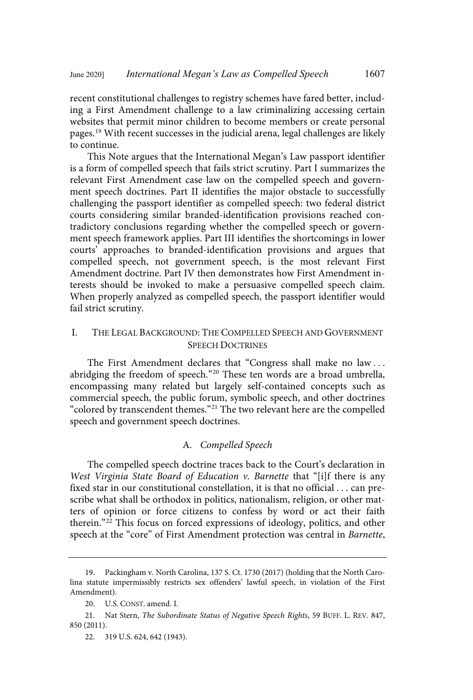recent constitutional challenges to registry schemes have fared better, including a First Amendment challenge to a law criminalizing accessing certain websites that permit minor children to become members or create personal pages.<sup>19</sup> With recent successes in the judicial arena, legal challenges are likely to continue.

This Note argues that the International Megan's Law passport identifier is a form of compelled speech that fails strict scrutiny. Part I summarizes the relevant First Amendment case law on the compelled speech and government speech doctrines. Part II identifies the major obstacle to successfully challenging the passport identifier as compelled speech: two federal district courts considering similar branded-identification provisions reached contradictory conclusions regarding whether the compelled speech or government speech framework applies. Part III identifies the shortcomings in lower courts' approaches to branded-identification provisions and argues that compelled speech, not government speech, is the most relevant First Amendment doctrine. Part IV then demonstrates how First Amendment interests should be invoked to make a persuasive compelled speech claim. When properly analyzed as compelled speech, the passport identifier would fail strict scrutiny.

## I. THE LEGAL BACKGROUND: THE COMPELLED SPEECH AND GOVERNMENT SPEECH DOCTRINES

The First Amendment declares that "Congress shall make no law . . . abridging the freedom of speech." <sup>20</sup> These ten words are a broad umbrella, encompassing many related but largely self-contained concepts such as commercial speech, the public forum, symbolic speech, and other doctrines "colored by transcendent themes." <sup>21</sup> The two relevant here are the compelled speech and government speech doctrines.

## A. Compelled Speech

The compelled speech doctrine traces back to the Court's declaration in West Virginia State Board of Education v. Barnette that "[i]f there is any fixed star in our constitutional constellation, it is that no official . . . can prescribe what shall be orthodox in politics, nationalism, religion, or other matters of opinion or force citizens to confess by word or act their faith therein." <sup>22</sup> This focus on forced expressions of ideology, politics, and other speech at the "core" of First Amendment protection was central in Barnette,

<sup>19.</sup> Packingham v. North Carolina, 137 S. Ct. 1730 (2017) (holding that the North Carolina statute impermissibly restricts sex offenders' lawful speech, in violation of the First Amendment).

<sup>20.</sup> U.S. CONST. amend. I.

<sup>21.</sup> Nat Stern, The Subordinate Status of Negative Speech Rights, 59 BUFF. L. REV. 847, 850 (2011).

<sup>22.</sup> 319 U.S. 624, 642 (1943).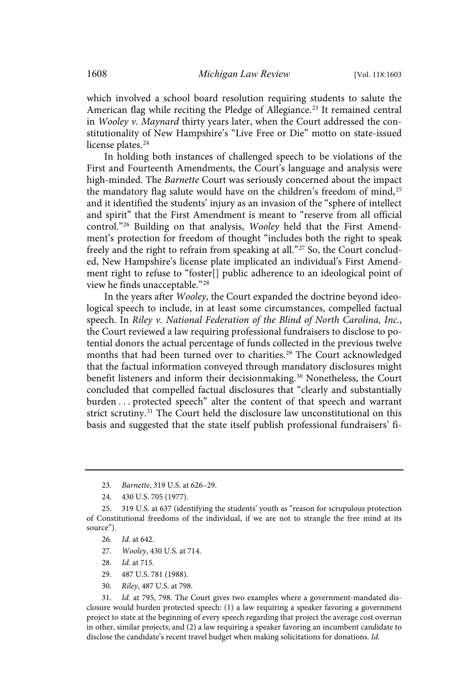which involved a school board resolution requiring students to salute the American flag while reciting the Pledge of Allegiance. <sup>23</sup> It remained central in Wooley v. Maynard thirty years later, when the Court addressed the constitutionality of New Hampshire's "Live Free or Die" motto on state-issued license plates.<sup>24</sup>

In holding both instances of challenged speech to be violations of the First and Fourteenth Amendments, the Court's language and analysis were high-minded. The Barnette Court was seriously concerned about the impact the mandatory flag salute would have on the children's freedom of mind,<sup>25</sup> and it identified the students' injury as an invasion of the "sphere of intellect and spirit" that the First Amendment is meant to "reserve from all official control."<sup>26</sup> Building on that analysis, Wooley held that the First Amendment's protection for freedom of thought "includes both the right to speak freely and the right to refrain from speaking at all."<sup>27</sup> So, the Court concluded, New Hampshire's license plate implicated an individual's First Amendment right to refuse to "foster[] public adherence to an ideological point of view he finds unacceptable."<sup>28</sup>

In the years after Wooley, the Court expanded the doctrine beyond ideological speech to include, in at least some circumstances, compelled factual speech. In Riley v. National Federation of the Blind of North Carolina, Inc., the Court reviewed a law requiring professional fundraisers to disclose to potential donors the actual percentage of funds collected in the previous twelve months that had been turned over to charities.<sup>29</sup> The Court acknowledged that the factual information conveyed through mandatory disclosures might benefit listeners and inform their decisionmaking. <sup>30</sup> Nonetheless, the Court concluded that compelled factual disclosures that "clearly and substantially burden . . . protected speech" alter the content of that speech and warrant strict scrutiny.<sup>31</sup> The Court held the disclosure law unconstitutional on this basis and suggested that the state itself publish professional fundraisers' fi-

- 27. Wooley, 430 U.S. at 714.
- 28. Id. at 715.
- 29. 487 U.S. 781 (1988).
- 30. Riley, 487 U.S. at 798.

<sup>23</sup>. Barnette, 319 U.S. at 626–29.

<sup>24.</sup> 430 U.S. 705 (1977).

<sup>25.</sup> 319 U.S. at 637 (identifying the students' youth as "reason for scrupulous protection of Constitutional freedoms of the individual, if we are not to strangle the free mind at its source").

<sup>26</sup>. Id. at 642.

<sup>31</sup>. Id. at 795, 798. The Court gives two examples where a government-mandated disclosure would burden protected speech: (1) a law requiring a speaker favoring a government project to state at the beginning of every speech regarding that project the average cost overrun in other, similar projects; and (2) a law requiring a speaker favoring an incumbent candidate to disclose the candidate's recent travel budget when making solicitations for donations. Id.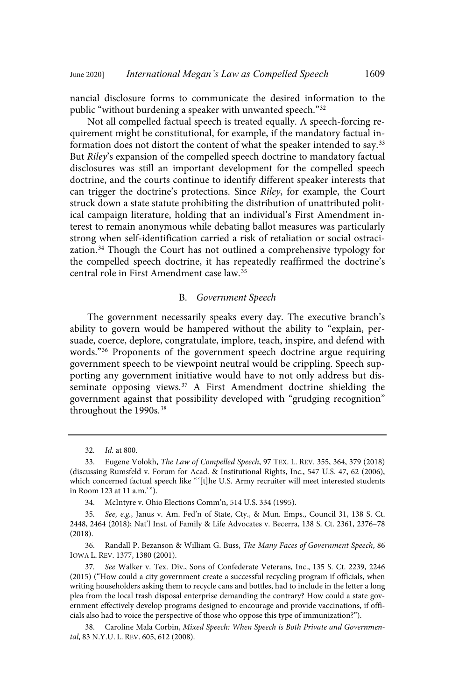nancial disclosure forms to communicate the desired information to the public "without burdening a speaker with unwanted speech."<sup>32</sup>

Not all compelled factual speech is treated equally. A speech-forcing requirement might be constitutional, for example, if the mandatory factual information does not distort the content of what the speaker intended to say.<sup>33</sup> But Riley's expansion of the compelled speech doctrine to mandatory factual disclosures was still an important development for the compelled speech doctrine, and the courts continue to identify different speaker interests that can trigger the doctrine's protections. Since Riley, for example, the Court struck down a state statute prohibiting the distribution of unattributed political campaign literature, holding that an individual's First Amendment interest to remain anonymous while debating ballot measures was particularly strong when self-identification carried a risk of retaliation or social ostracization.<sup>34</sup> Though the Court has not outlined a comprehensive typology for the compelled speech doctrine, it has repeatedly reaffirmed the doctrine's central role in First Amendment case law.<sup>35</sup>

## B. Government Speech

The government necessarily speaks every day. The executive branch's ability to govern would be hampered without the ability to "explain, persuade, coerce, deplore, congratulate, implore, teach, inspire, and defend with words." <sup>36</sup> Proponents of the government speech doctrine argue requiring government speech to be viewpoint neutral would be crippling. Speech supporting any government initiative would have to not only address but disseminate opposing views.<sup>37</sup> A First Amendment doctrine shielding the government against that possibility developed with "grudging recognition" throughout the 1990s.<sup>38</sup>

<sup>32</sup>. Id. at 800.

<sup>33.</sup> Eugene Volokh, The Law of Compelled Speech, 97 TEX. L. REV. 355, 364, 379 (2018) (discussing Rumsfeld v. Forum for Acad. & Institutional Rights, Inc., 547 U.S. 47, 62 (2006), which concerned factual speech like "'[t]he U.S. Army recruiter will meet interested students in Room 123 at 11 a.m.' ").

<sup>34.</sup> McIntyre v. Ohio Elections Comm'n, 514 U.S. 334 (1995).

<sup>35</sup>. See, e.g., Janus v. Am. Fed'n of State, Cty., & Mun. Emps., Council 31, 138 S. Ct. 2448, 2464 (2018); Nat'l Inst. of Family & Life Advocates v. Becerra, 138 S. Ct. 2361, 2376–78 (2018).

<sup>36.</sup> Randall P. Bezanson & William G. Buss, The Many Faces of Government Speech, 86 IOWA L. REV. 1377, 1380 (2001).

<sup>37</sup>. See Walker v. Tex. Div., Sons of Confederate Veterans, Inc., 135 S. Ct. 2239, 2246 (2015) ("How could a city government create a successful recycling program if officials, when writing householders asking them to recycle cans and bottles, had to include in the letter a long plea from the local trash disposal enterprise demanding the contrary? How could a state government effectively develop programs designed to encourage and provide vaccinations, if officials also had to voice the perspective of those who oppose this type of immunization?").

<sup>38.</sup> Caroline Mala Corbin, Mixed Speech: When Speech is Both Private and Governmental, 83 N.Y.U. L. REV. 605, 612 (2008).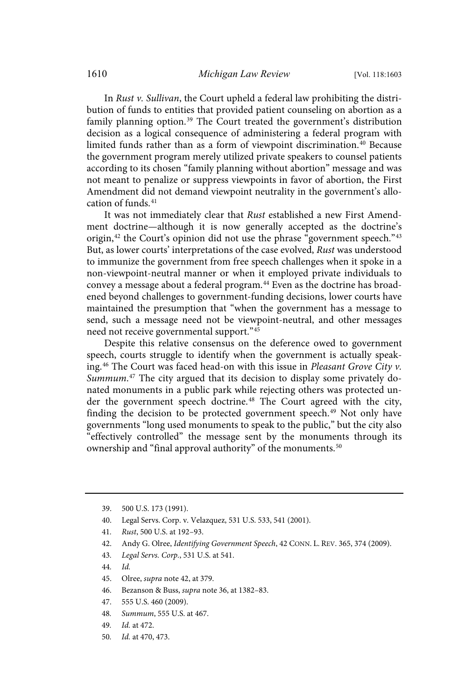In Rust v. Sullivan, the Court upheld a federal law prohibiting the distribution of funds to entities that provided patient counseling on abortion as a family planning option. <sup>39</sup> The Court treated the government's distribution decision as a logical consequence of administering a federal program with limited funds rather than as a form of viewpoint discrimination.<sup>40</sup> Because the government program merely utilized private speakers to counsel patients according to its chosen "family planning without abortion" message and was not meant to penalize or suppress viewpoints in favor of abortion, the First Amendment did not demand viewpoint neutrality in the government's allocation of funds. $41$ 

It was not immediately clear that Rust established a new First Amendment doctrine—although it is now generally accepted as the doctrine's origin, $42$  the Court's opinion did not use the phrase "government speech." $43$ But, as lower courts' interpretations of the case evolved, Rust was understood to immunize the government from free speech challenges when it spoke in a non-viewpoint-neutral manner or when it employed private individuals to convey a message about a federal program.<sup>44</sup> Even as the doctrine has broadened beyond challenges to government-funding decisions, lower courts have maintained the presumption that "when the government has a message to send, such a message need not be viewpoint-neutral, and other messages need not receive governmental support."<sup>45</sup>

Despite this relative consensus on the deference owed to government speech, courts struggle to identify when the government is actually speaking.<sup>46</sup> The Court was faced head-on with this issue in Pleasant Grove City  $v$ . Summum.<sup>47</sup> The city argued that its decision to display some privately donated monuments in a public park while rejecting others was protected under the government speech doctrine. <sup>48</sup> The Court agreed with the city, finding the decision to be protected government speech.<sup>49</sup> Not only have governments "long used monuments to speak to the public," but the city also "effectively controlled" the message sent by the monuments through its ownership and "final approval authority" of the monuments.<sup>50</sup>

- 40. Legal Servs. Corp. v. Velazquez, 531 U.S. 533, 541 (2001).
- 41. Rust, 500 U.S. at 192–93.
- 42. Andy G. Olree, Identifying Government Speech, 42 CONN. L. REV. 365, 374 (2009).
- 43. Legal Servs. Corp., 531 U.S. at 541.
- 44. Id.
- 45. Olree, supra note 42, at 379.
- 46. Bezanson & Buss, supra note 36, at 1382–83.
- 47. 555 U.S. 460 (2009).
- 48. Summum, 555 U.S. at 467.
- 49. Id. at 472.
- 50. Id. at 470, 473.

<sup>39.</sup> 500 U.S. 173 (1991).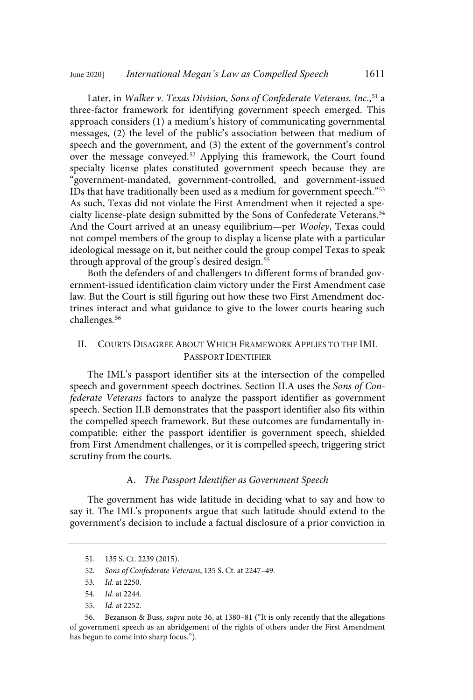Later, in *Walker v. Texas Division, Sons of Confederate Veterans, Inc.,<sup>51</sup> a* three-factor framework for identifying government speech emerged. This approach considers (1) a medium's history of communicating governmental messages, (2) the level of the public's association between that medium of speech and the government, and (3) the extent of the government's control over the message conveyed.<sup>52</sup> Applying this framework, the Court found specialty license plates constituted government speech because they are "government-mandated, government-controlled, and government-issued IDs that have traditionally been used as a medium for government speech."<sup>53</sup> As such, Texas did not violate the First Amendment when it rejected a specialty license-plate design submitted by the Sons of Confederate Veterans. 54 And the Court arrived at an uneasy equilibrium—per Wooley, Texas could not compel members of the group to display a license plate with a particular ideological message on it, but neither could the group compel Texas to speak through approval of the group's desired design. $55$ 

Both the defenders of and challengers to different forms of branded government-issued identification claim victory under the First Amendment case law. But the Court is still figuring out how these two First Amendment doctrines interact and what guidance to give to the lower courts hearing such challenges.<sup>56</sup>

## II. COURTS DISAGREE ABOUT WHICH FRAMEWORK APPLIES TO THE IML PASSPORT IDENTIFIER

The IML's passport identifier sits at the intersection of the compelled speech and government speech doctrines. Section II.A uses the Sons of Confederate Veterans factors to analyze the passport identifier as government speech. Section II.B demonstrates that the passport identifier also fits within the compelled speech framework. But these outcomes are fundamentally incompatible: either the passport identifier is government speech, shielded from First Amendment challenges, or it is compelled speech, triggering strict scrutiny from the courts.

#### A. The Passport Identifier as Government Speech

The government has wide latitude in deciding what to say and how to say it. The IML's proponents argue that such latitude should extend to the government's decision to include a factual disclosure of a prior conviction in

56. Bezanson & Buss, supra note 36, at 1380–81 ("It is only recently that the allegations of government speech as an abridgement of the rights of others under the First Amendment has begun to come into sharp focus.").

<sup>51.</sup> 135 S. Ct. 2239 (2015).

<sup>52</sup>. Sons of Confederate Veterans, 135 S. Ct. at 2247–49.

<sup>53</sup>. Id. at 2250.

<sup>54</sup>. Id. at 2244.

<sup>55</sup>. Id. at 2252.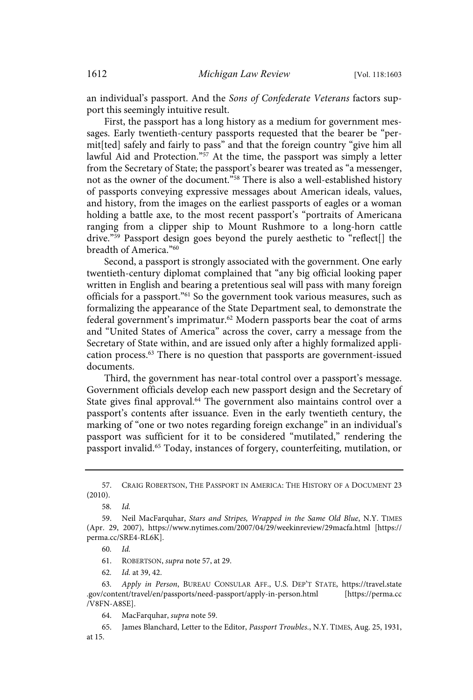an individual's passport. And the Sons of Confederate Veterans factors support this seemingly intuitive result.

First, the passport has a long history as a medium for government messages. Early twentieth-century passports requested that the bearer be "permit[ted] safely and fairly to pass" and that the foreign country "give him all lawful Aid and Protection." <sup>57</sup> At the time, the passport was simply a letter from the Secretary of State; the passport's bearer was treated as "a messenger, not as the owner of the document."<sup>58</sup> There is also a well-established history of passports conveying expressive messages about American ideals, values, and history, from the images on the earliest passports of eagles or a woman holding a battle axe, to the most recent passport's "portraits of Americana ranging from a clipper ship to Mount Rushmore to a long-horn cattle drive." <sup>59</sup> Passport design goes beyond the purely aesthetic to "reflect[] the breadth of America." 60

Second, a passport is strongly associated with the government. One early twentieth-century diplomat complained that "any big official looking paper written in English and bearing a pretentious seal will pass with many foreign officials for a passport."<sup>61</sup> So the government took various measures, such as formalizing the appearance of the State Department seal, to demonstrate the federal government's imprimatur. <sup>62</sup> Modern passports bear the coat of arms and "United States of America" across the cover, carry a message from the Secretary of State within, and are issued only after a highly formalized application process. <sup>63</sup> There is no question that passports are government-issued documents.

Third, the government has near-total control over a passport's message. Government officials develop each new passport design and the Secretary of State gives final approval.<sup>64</sup> The government also maintains control over a passport's contents after issuance. Even in the early twentieth century, the marking of "one or two notes regarding foreign exchange" in an individual's passport was sufficient for it to be considered "mutilated," rendering the passport invalid.<sup>65</sup> Today, instances of forgery, counterfeiting, mutilation, or

61. ROBERTSON, supra note 57, at 29.

62. Id. at 39, 42.

63. Apply in Person, BUREAU CONSULAR AFF., U.S. DEP'T STATE, https://travel.state .gov/content/travel/en/passports/need-passport/apply-in-person.html [https://perma.cc /V8FN-A8SE].

64. MacFarquhar, supra note 59.

65. James Blanchard, Letter to the Editor, Passport Troubles., N.Y. TIMES, Aug. 25, 1931, at 15.

<sup>57.</sup> CRAIG ROBERTSON, THE PASSPORT IN AMERICA: THE HISTORY OF A DOCUMENT 23 (2010).

<sup>58</sup>. Id.

<sup>59.</sup> Neil MacFarquhar, Stars and Stripes, Wrapped in the Same Old Blue, N.Y. TIMES (Apr. 29, 2007), https://www.nytimes.com/2007/04/29/weekinreview/29macfa.html [https:// perma.cc/SRE4-RL6K].

<sup>60</sup>. Id.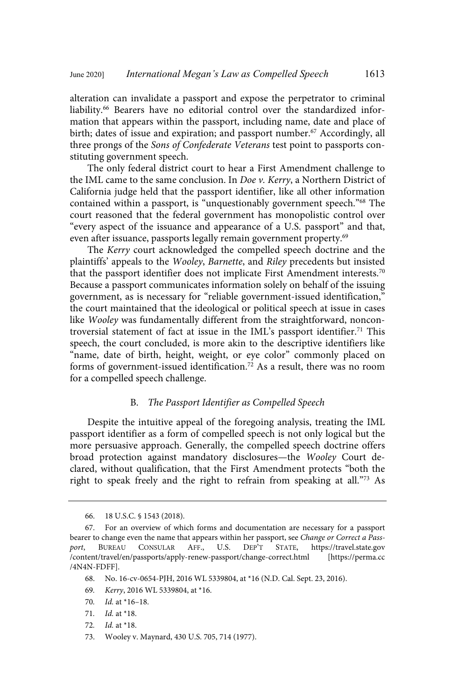alteration can invalidate a passport and expose the perpetrator to criminal liability.<sup>66</sup> Bearers have no editorial control over the standardized information that appears within the passport, including name, date and place of birth; dates of issue and expiration; and passport number. <sup>67</sup> Accordingly, all three prongs of the Sons of Confederate Veterans test point to passports constituting government speech.

The only federal district court to hear a First Amendment challenge to the IML came to the same conclusion. In Doe v. Kerry, a Northern District of California judge held that the passport identifier, like all other information contained within a passport, is "unquestionably government speech."<sup>68</sup> The court reasoned that the federal government has monopolistic control over "every aspect of the issuance and appearance of a U.S. passport" and that, even after issuance, passports legally remain government property.<sup>69</sup>

The Kerry court acknowledged the compelled speech doctrine and the plaintiffs' appeals to the Wooley, Barnette, and Riley precedents but insisted that the passport identifier does not implicate First Amendment interests.<sup>70</sup> Because a passport communicates information solely on behalf of the issuing government, as is necessary for "reliable government-issued identification," the court maintained that the ideological or political speech at issue in cases like Wooley was fundamentally different from the straightforward, noncontroversial statement of fact at issue in the IML's passport identifier.<sup>71</sup> This speech, the court concluded, is more akin to the descriptive identifiers like "name, date of birth, height, weight, or eye color" commonly placed on forms of government-issued identification.<sup>72</sup> As a result, there was no room for a compelled speech challenge.

## B. The Passport Identifier as Compelled Speech

Despite the intuitive appeal of the foregoing analysis, treating the IML passport identifier as a form of compelled speech is not only logical but the more persuasive approach. Generally, the compelled speech doctrine offers broad protection against mandatory disclosures—the Wooley Court declared, without qualification, that the First Amendment protects "both the right to speak freely and the right to refrain from speaking at all."<sup>73</sup> As

- 68. No. 16-cv-0654-PJH, 2016 WL 5339804, at \*16 (N.D. Cal. Sept. 23, 2016).
- 69. Kerry, 2016 WL 5339804, at \*16.
- 70. Id. at \*16–18.
- 71. Id. at \*18.
- 72. Id. at \*18.
- 73. Wooley v. Maynard, 430 U.S. 705, 714 (1977).

<sup>66.</sup> 18 U.S.C. § 1543 (2018).

<sup>67.</sup> For an overview of which forms and documentation are necessary for a passport bearer to change even the name that appears within her passport, see Change or Correct a Pass-<br>port, BUREAU CONSULAR AFF., U.S. DEP'T STATE, https://travel.state.gov port, BUREAU CONSULAR AFF., U.S. DEP'T STATE, https://travel.state.gov /content/travel/en/passports/apply-renew-passport/change-correct.html [https://perma.cc /4N4N-FDFF].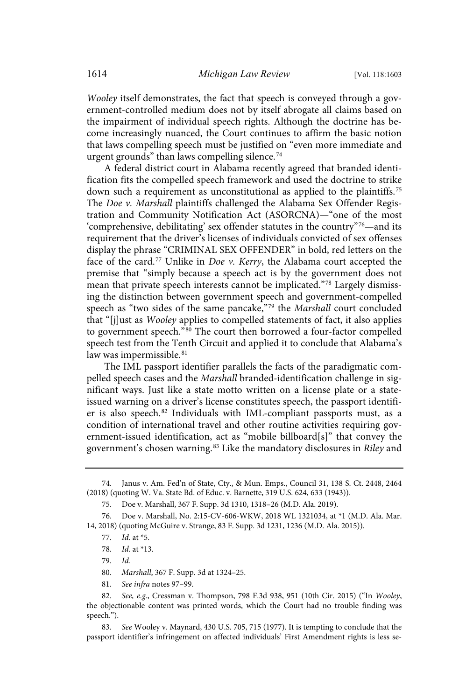Wooley itself demonstrates, the fact that speech is conveyed through a government-controlled medium does not by itself abrogate all claims based on the impairment of individual speech rights. Although the doctrine has become increasingly nuanced, the Court continues to affirm the basic notion that laws compelling speech must be justified on "even more immediate and urgent grounds" than laws compelling silence.<sup>74</sup>

A federal district court in Alabama recently agreed that branded identification fits the compelled speech framework and used the doctrine to strike down such a requirement as unconstitutional as applied to the plaintiffs.<sup>75</sup> The Doe v. Marshall plaintiffs challenged the Alabama Sex Offender Registration and Community Notification Act (ASORCNA)—"one of the most 'comprehensive, debilitating' sex offender statutes in the country"<sup>76</sup>—and its requirement that the driver's licenses of individuals convicted of sex offenses display the phrase "CRIMINAL SEX OFFENDER" in bold, red letters on the face of the card.<sup>77</sup> Unlike in *Doe v. Kerry*, the Alabama court accepted the premise that "simply because a speech act is by the government does not mean that private speech interests cannot be implicated." <sup>78</sup> Largely dismissing the distinction between government speech and government-compelled speech as "two sides of the same pancake,"79 the Marshall court concluded that "[j]ust as *Wooley* applies to compelled statements of fact, it also applies to government speech."<sup>80</sup> The court then borrowed a four-factor compelled speech test from the Tenth Circuit and applied it to conclude that Alabama's law was impermissible.<sup>81</sup>

The IML passport identifier parallels the facts of the paradigmatic compelled speech cases and the Marshall branded-identification challenge in significant ways. Just like a state motto written on a license plate or a stateissued warning on a driver's license constitutes speech, the passport identifier is also speech. <sup>82</sup> Individuals with IML-compliant passports must, as a condition of international travel and other routine activities requiring government-issued identification, act as "mobile billboard[s]" that convey the government's chosen warning.<sup>83</sup> Like the mandatory disclosures in Riley and

79. Id.

80. Marshall, 367 F. Supp. 3d at 1324–25.

81. See infra notes 97–99.

<sup>74.</sup> Janus v. Am. Fed'n of State, Cty., & Mun. Emps., Council 31, 138 S. Ct. 2448, 2464 (2018) (quoting W. Va. State Bd. of Educ. v. Barnette, 319 U.S. 624, 633 (1943)).

<sup>75.</sup> Doe v. Marshall, 367 F. Supp. 3d 1310, 1318–26 (M.D. Ala. 2019).

<sup>76.</sup> Doe v. Marshall, No. 2:15-CV-606-WKW, 2018 WL 1321034, at \*1 (M.D. Ala. Mar. 14, 2018) (quoting McGuire v. Strange, 83 F. Supp. 3d 1231, 1236 (M.D. Ala. 2015)).

<sup>77</sup>. Id. at \*5.

<sup>78</sup>. Id. at \*13.

<sup>82</sup>. See, e.g., Cressman v. Thompson, 798 F.3d 938, 951 (10th Cir. 2015) ("In Wooley, the objectionable content was printed words, which the Court had no trouble finding was speech.").

<sup>83</sup>. See Wooley v. Maynard, 430 U.S. 705, 715 (1977). It is tempting to conclude that the passport identifier's infringement on affected individuals' First Amendment rights is less se-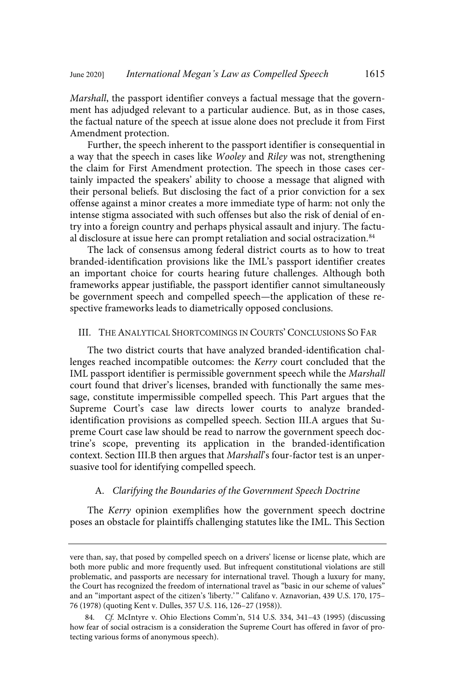Marshall, the passport identifier conveys a factual message that the government has adjudged relevant to a particular audience. But, as in those cases, the factual nature of the speech at issue alone does not preclude it from First Amendment protection.

Further, the speech inherent to the passport identifier is consequential in a way that the speech in cases like Wooley and Riley was not, strengthening the claim for First Amendment protection. The speech in those cases certainly impacted the speakers' ability to choose a message that aligned with their personal beliefs. But disclosing the fact of a prior conviction for a sex offense against a minor creates a more immediate type of harm: not only the intense stigma associated with such offenses but also the risk of denial of entry into a foreign country and perhaps physical assault and injury. The factual disclosure at issue here can prompt retaliation and social ostracization.<sup>84</sup>

The lack of consensus among federal district courts as to how to treat branded-identification provisions like the IML's passport identifier creates an important choice for courts hearing future challenges. Although both frameworks appear justifiable, the passport identifier cannot simultaneously be government speech and compelled speech—the application of these respective frameworks leads to diametrically opposed conclusions.

## III. THE ANALYTICAL SHORTCOMINGS IN COURTS' CONCLUSIONS SO FAR

The two district courts that have analyzed branded-identification challenges reached incompatible outcomes: the Kerry court concluded that the IML passport identifier is permissible government speech while the Marshall court found that driver's licenses, branded with functionally the same message, constitute impermissible compelled speech. This Part argues that the Supreme Court's case law directs lower courts to analyze brandedidentification provisions as compelled speech. Section III.A argues that Supreme Court case law should be read to narrow the government speech doctrine's scope, preventing its application in the branded-identification context. Section III.B then argues that Marshall's four-factor test is an unpersuasive tool for identifying compelled speech.

#### A. Clarifying the Boundaries of the Government Speech Doctrine

The Kerry opinion exemplifies how the government speech doctrine poses an obstacle for plaintiffs challenging statutes like the IML. This Section

vere than, say, that posed by compelled speech on a drivers' license or license plate, which are both more public and more frequently used. But infrequent constitutional violations are still problematic, and passports are necessary for international travel. Though a luxury for many, the Court has recognized the freedom of international travel as "basic in our scheme of values" and an "important aspect of the citizen's 'liberty.'" Califano v. Aznavorian, 439 U.S. 170, 175-76 (1978) (quoting Kent v. Dulles, 357 U.S. 116, 126–27 (1958)).

<sup>84</sup>. Cf. McIntyre v. Ohio Elections Comm'n, 514 U.S. 334, 341–43 (1995) (discussing how fear of social ostracism is a consideration the Supreme Court has offered in favor of protecting various forms of anonymous speech).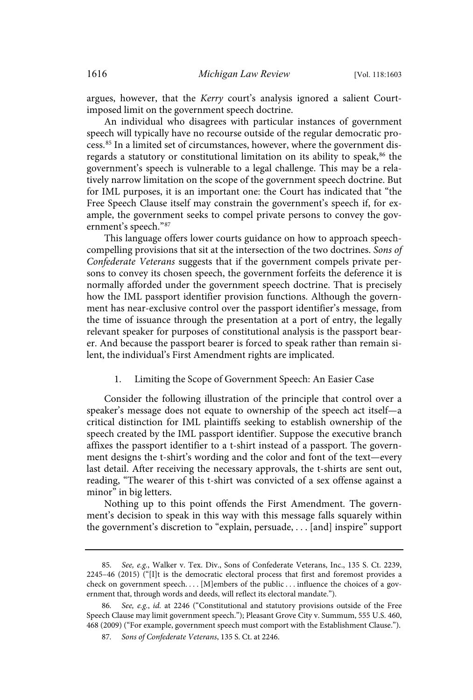argues, however, that the Kerry court's analysis ignored a salient Courtimposed limit on the government speech doctrine.

An individual who disagrees with particular instances of government speech will typically have no recourse outside of the regular democratic process. <sup>85</sup> In a limited set of circumstances, however, where the government disregards a statutory or constitutional limitation on its ability to speak,  $86$  the government's speech is vulnerable to a legal challenge. This may be a relatively narrow limitation on the scope of the government speech doctrine. But for IML purposes, it is an important one: the Court has indicated that "the Free Speech Clause itself may constrain the government's speech if, for example, the government seeks to compel private persons to convey the government's speech."<sup>87</sup>

This language offers lower courts guidance on how to approach speechcompelling provisions that sit at the intersection of the two doctrines. Sons of Confederate Veterans suggests that if the government compels private persons to convey its chosen speech, the government forfeits the deference it is normally afforded under the government speech doctrine. That is precisely how the IML passport identifier provision functions. Although the government has near-exclusive control over the passport identifier's message, from the time of issuance through the presentation at a port of entry, the legally relevant speaker for purposes of constitutional analysis is the passport bearer. And because the passport bearer is forced to speak rather than remain silent, the individual's First Amendment rights are implicated.

1. Limiting the Scope of Government Speech: An Easier Case

Consider the following illustration of the principle that control over a speaker's message does not equate to ownership of the speech act itself—a critical distinction for IML plaintiffs seeking to establish ownership of the speech created by the IML passport identifier. Suppose the executive branch affixes the passport identifier to a t-shirt instead of a passport. The government designs the t-shirt's wording and the color and font of the text—every last detail. After receiving the necessary approvals, the t-shirts are sent out, reading, "The wearer of this t-shirt was convicted of a sex offense against a minor" in big letters.

Nothing up to this point offends the First Amendment. The government's decision to speak in this way with this message falls squarely within the government's discretion to "explain, persuade, . . . [and] inspire" support

<sup>85</sup>. See, e.g., Walker v. Tex. Div., Sons of Confederate Veterans, Inc., 135 S. Ct. 2239, 2245–46 (2015) ("[I]t is the democratic electoral process that first and foremost provides a check on government speech. . . . [M]embers of the public . . . influence the choices of a government that, through words and deeds, will reflect its electoral mandate.").

<sup>86</sup>. See, e.g., id. at 2246 ("Constitutional and statutory provisions outside of the Free Speech Clause may limit government speech."); Pleasant Grove City v. Summum, 555 U.S. 460, 468 (2009) ("For example, government speech must comport with the Establishment Clause.").

<sup>87</sup>. Sons of Confederate Veterans, 135 S. Ct. at 2246.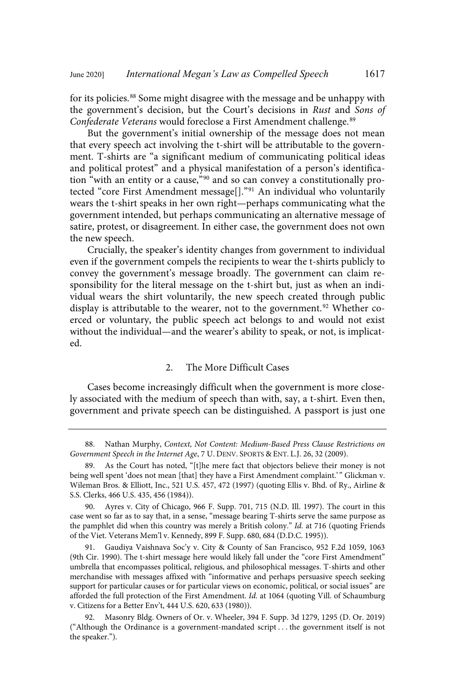for its policies.<sup>88</sup> Some might disagree with the message and be unhappy with the government's decision, but the Court's decisions in Rust and Sons of Confederate Veterans would foreclose a First Amendment challenge.<sup>89</sup>

But the government's initial ownership of the message does not mean that every speech act involving the t-shirt will be attributable to the government. T-shirts are "a significant medium of communicating political ideas and political protest" and a physical manifestation of a person's identification "with an entity or a cause,"<sup>90</sup> and so can convey a constitutionally protected "core First Amendment message[]." <sup>91</sup> An individual who voluntarily wears the t-shirt speaks in her own right—perhaps communicating what the government intended, but perhaps communicating an alternative message of satire, protest, or disagreement. In either case, the government does not own the new speech.

Crucially, the speaker's identity changes from government to individual even if the government compels the recipients to wear the t-shirts publicly to convey the government's message broadly. The government can claim responsibility for the literal message on the t-shirt but, just as when an individual wears the shirt voluntarily, the new speech created through public display is attributable to the wearer, not to the government.<sup>92</sup> Whether coerced or voluntary, the public speech act belongs to and would not exist without the individual—and the wearer's ability to speak, or not, is implicated.

## 2. The More Difficult Cases

Cases become increasingly difficult when the government is more closely associated with the medium of speech than with, say, a t-shirt. Even then, government and private speech can be distinguished. A passport is just one

<sup>88.</sup> Nathan Murphy, Context, Not Content: Medium-Based Press Clause Restrictions on Government Speech in the Internet Age, 7 U. DENV. SPORTS & ENT. L.J. 26, 32 (2009).

As the Court has noted, "[t]he mere fact that objectors believe their money is not being well spent 'does not mean [that] they have a First Amendment complaint.' " Glickman v. Wileman Bros. & Elliott, Inc., 521 U.S. 457, 472 (1997) (quoting Ellis v. Bhd. of Ry., Airline & S.S. Clerks, 466 U.S. 435, 456 (1984)).

<sup>90.</sup> Ayres v. City of Chicago, 966 F. Supp. 701, 715 (N.D. Ill. 1997). The court in this case went so far as to say that, in a sense, "message bearing T-shirts serve the same purpose as the pamphlet did when this country was merely a British colony." Id. at 716 (quoting Friends of the Viet. Veterans Mem'l v. Kennedy, 899 F. Supp. 680, 684 (D.D.C. 1995)).

<sup>91.</sup> Gaudiya Vaishnava Soc'y v. City & County of San Francisco, 952 F.2d 1059, 1063 (9th Cir. 1990). The t-shirt message here would likely fall under the "core First Amendment" umbrella that encompasses political, religious, and philosophical messages. T-shirts and other merchandise with messages affixed with "informative and perhaps persuasive speech seeking support for particular causes or for particular views on economic, political, or social issues" are afforded the full protection of the First Amendment. Id. at 1064 (quoting Vill. of Schaumburg v. Citizens for a Better Env't, 444 U.S. 620, 633 (1980)).

<sup>92.</sup> Masonry Bldg. Owners of Or. v. Wheeler, 394 F. Supp. 3d 1279, 1295 (D. Or. 2019) ("Although the Ordinance is a government-mandated script . . . the government itself is not the speaker.").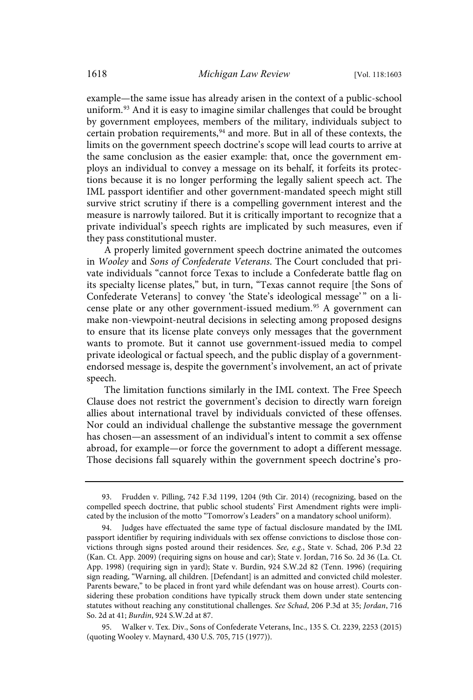example—the same issue has already arisen in the context of a public-school uniform.<sup>93</sup> And it is easy to imagine similar challenges that could be brought by government employees, members of the military, individuals subject to certain probation requirements, <sup>94</sup> and more. But in all of these contexts, the limits on the government speech doctrine's scope will lead courts to arrive at the same conclusion as the easier example: that, once the government employs an individual to convey a message on its behalf, it forfeits its protections because it is no longer performing the legally salient speech act. The IML passport identifier and other government-mandated speech might still survive strict scrutiny if there is a compelling government interest and the measure is narrowly tailored. But it is critically important to recognize that a private individual's speech rights are implicated by such measures, even if they pass constitutional muster.

A properly limited government speech doctrine animated the outcomes in Wooley and Sons of Confederate Veterans. The Court concluded that private individuals "cannot force Texas to include a Confederate battle flag on its specialty license plates," but, in turn, "Texas cannot require [the Sons of Confederate Veterans] to convey 'the State's ideological message'" on a license plate or any other government-issued medium.<sup>95</sup> A government can make non-viewpoint-neutral decisions in selecting among proposed designs to ensure that its license plate conveys only messages that the government wants to promote. But it cannot use government-issued media to compel private ideological or factual speech, and the public display of a governmentendorsed message is, despite the government's involvement, an act of private speech.

The limitation functions similarly in the IML context. The Free Speech Clause does not restrict the government's decision to directly warn foreign allies about international travel by individuals convicted of these offenses. Nor could an individual challenge the substantive message the government has chosen—an assessment of an individual's intent to commit a sex offense abroad, for example—or force the government to adopt a different message. Those decisions fall squarely within the government speech doctrine's pro-

95. Walker v. Tex. Div., Sons of Confederate Veterans, Inc., 135 S. Ct. 2239, 2253 (2015) (quoting Wooley v. Maynard, 430 U.S. 705, 715 (1977)).

<sup>93.</sup> Frudden v. Pilling, 742 F.3d 1199, 1204 (9th Cir. 2014) (recognizing, based on the compelled speech doctrine, that public school students' First Amendment rights were implicated by the inclusion of the motto "Tomorrow's Leaders" on a mandatory school uniform).

<sup>94.</sup> Judges have effectuated the same type of factual disclosure mandated by the IML passport identifier by requiring individuals with sex offense convictions to disclose those convictions through signs posted around their residences. See, e.g., State v. Schad, 206 P.3d 22 (Kan. Ct. App. 2009) (requiring signs on house and car); State v. Jordan, 716 So. 2d 36 (La. Ct. App. 1998) (requiring sign in yard); State v. Burdin, 924 S.W.2d 82 (Tenn. 1996) (requiring sign reading, "Warning, all children. [Defendant] is an admitted and convicted child molester. Parents beware," to be placed in front yard while defendant was on house arrest). Courts considering these probation conditions have typically struck them down under state sentencing statutes without reaching any constitutional challenges. See Schad, 206 P.3d at 35; Jordan, 716 So. 2d at 41; Burdin, 924 S.W.2d at 87.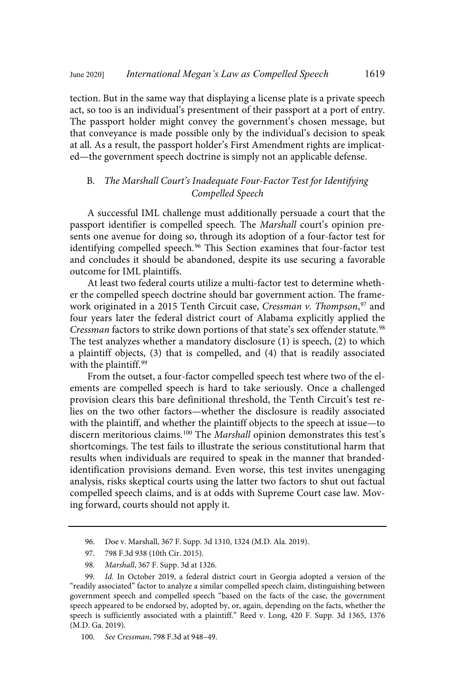tection. But in the same way that displaying a license plate is a private speech act, so too is an individual's presentment of their passport at a port of entry. The passport holder might convey the government's chosen message, but that conveyance is made possible only by the individual's decision to speak at all. As a result, the passport holder's First Amendment rights are implicated—the government speech doctrine is simply not an applicable defense.

## B. The Marshall Court's Inadequate Four-Factor Test for Identifying Compelled Speech

A successful IML challenge must additionally persuade a court that the passport identifier is compelled speech. The Marshall court's opinion presents one avenue for doing so, through its adoption of a four-factor test for identifying compelled speech. <sup>96</sup> This Section examines that four-factor test and concludes it should be abandoned, despite its use securing a favorable outcome for IML plaintiffs.

At least two federal courts utilize a multi-factor test to determine whether the compelled speech doctrine should bar government action. The framework originated in a 2015 Tenth Circuit case, C*ressman v. Thompson*,<sup>97</sup> and four years later the federal district court of Alabama explicitly applied the Cressman factors to strike down portions of that state's sex offender statute.<sup>98</sup> The test analyzes whether a mandatory disclosure (1) is speech, (2) to which a plaintiff objects, (3) that is compelled, and (4) that is readily associated with the plaintiff.<sup>99</sup>

From the outset, a four-factor compelled speech test where two of the elements are compelled speech is hard to take seriously. Once a challenged provision clears this bare definitional threshold, the Tenth Circuit's test relies on the two other factors—whether the disclosure is readily associated with the plaintiff, and whether the plaintiff objects to the speech at issue—to discern meritorious claims.<sup>100</sup> The Marshall opinion demonstrates this test's shortcomings. The test fails to illustrate the serious constitutional harm that results when individuals are required to speak in the manner that brandedidentification provisions demand. Even worse, this test invites unengaging analysis, risks skeptical courts using the latter two factors to shut out factual compelled speech claims, and is at odds with Supreme Court case law. Moving forward, courts should not apply it.

<sup>96.</sup> Doe v. Marshall, 367 F. Supp. 3d 1310, 1324 (M.D. Ala. 2019).

<sup>97.</sup> 798 F.3d 938 (10th Cir. 2015).

<sup>98</sup>. Marshall, 367 F. Supp. 3d at 1326.

<sup>99</sup>. Id. In October 2019, a federal district court in Georgia adopted a version of the "readily associated" factor to analyze a similar compelled speech claim, distinguishing between government speech and compelled speech "based on the facts of the case, the government speech appeared to be endorsed by, adopted by, or, again, depending on the facts, whether the speech is sufficiently associated with a plaintiff." Reed v. Long, 420 F. Supp. 3d 1365, 1376 (M.D. Ga. 2019).

<sup>100</sup>. See Cressman, 798 F.3d at 948–49.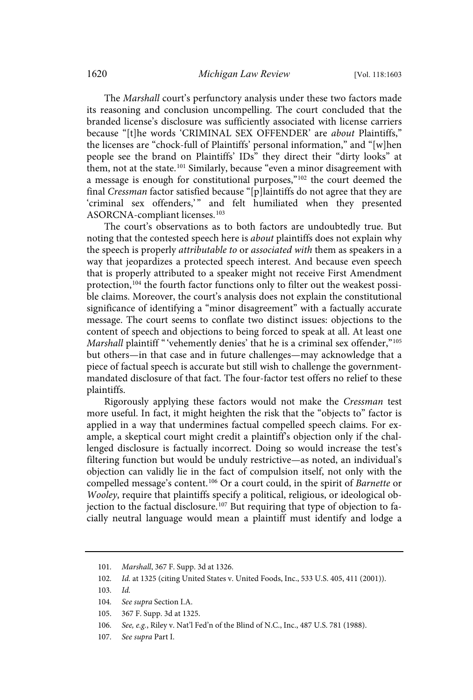The Marshall court's perfunctory analysis under these two factors made its reasoning and conclusion uncompelling. The court concluded that the branded license's disclosure was sufficiently associated with license carriers because "[t]he words 'CRIMINAL SEX OFFENDER' are about Plaintiffs," the licenses are "chock-full of Plaintiffs' personal information," and "[w]hen people see the brand on Plaintiffs' IDs" they direct their "dirty looks" at them, not at the state.<sup>101</sup> Similarly, because "even a minor disagreement with a message is enough for constitutional purposes,"<sup>102</sup> the court deemed the final Cressman factor satisfied because "[p]laintiffs do not agree that they are 'criminal sex offenders,'" and felt humiliated when they presented ASORCNA-compliant licenses.<sup>103</sup>

The court's observations as to both factors are undoubtedly true. But noting that the contested speech here is *about* plaintiffs does not explain why the speech is properly attributable to or associated with them as speakers in a way that jeopardizes a protected speech interest. And because even speech that is properly attributed to a speaker might not receive First Amendment protection, <sup>104</sup> the fourth factor functions only to filter out the weakest possible claims. Moreover, the court's analysis does not explain the constitutional significance of identifying a "minor disagreement" with a factually accurate message. The court seems to conflate two distinct issues: objections to the content of speech and objections to being forced to speak at all. At least one Marshall plaintiff "'vehemently denies' that he is a criminal sex offender,"<sup>105</sup> but others—in that case and in future challenges—may acknowledge that a piece of factual speech is accurate but still wish to challenge the governmentmandated disclosure of that fact. The four-factor test offers no relief to these plaintiffs.

Rigorously applying these factors would not make the Cressman test more useful. In fact, it might heighten the risk that the "objects to" factor is applied in a way that undermines factual compelled speech claims. For example, a skeptical court might credit a plaintiff's objection only if the challenged disclosure is factually incorrect. Doing so would increase the test's filtering function but would be unduly restrictive—as noted, an individual's objection can validly lie in the fact of compulsion itself, not only with the compelled message's content.<sup>106</sup> Or a court could, in the spirit of Barnette or Wooley, require that plaintiffs specify a political, religious, or ideological objection to the factual disclosure. <sup>107</sup> But requiring that type of objection to facially neutral language would mean a plaintiff must identify and lodge a

<sup>101</sup>. Marshall, 367 F. Supp. 3d at 1326.

<sup>102</sup>. Id. at 1325 (citing United States v. United Foods, Inc., 533 U.S. 405, 411 (2001)).

<sup>103</sup>. Id.

<sup>104</sup>. See supra Section I.A.

<sup>105.</sup> 367 F. Supp. 3d at 1325.

<sup>106</sup>. See, e.g., Riley v. Nat'l Fed'n of the Blind of N.C., Inc., 487 U.S. 781 (1988).

<sup>107</sup>. See supra Part I.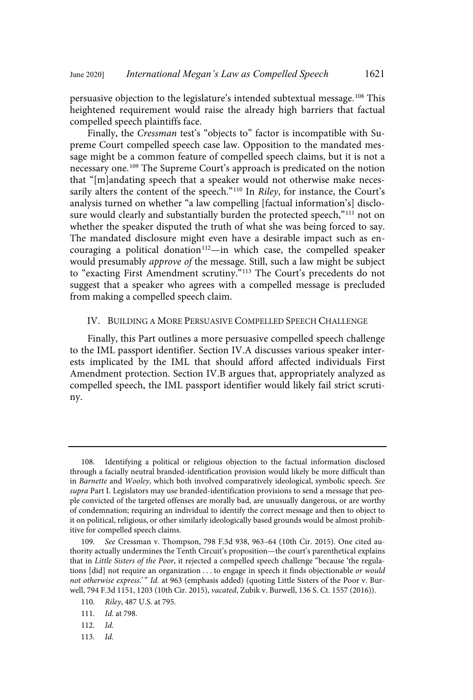persuasive objection to the legislature's intended subtextual message. <sup>108</sup> This heightened requirement would raise the already high barriers that factual compelled speech plaintiffs face.

Finally, the Cressman test's "objects to" factor is incompatible with Supreme Court compelled speech case law. Opposition to the mandated message might be a common feature of compelled speech claims, but it is not a necessary one.<sup>109</sup> The Supreme Court's approach is predicated on the notion that "[m]andating speech that a speaker would not otherwise make necessarily alters the content of the speech."<sup>110</sup> In *Riley*, for instance, the Court's analysis turned on whether "a law compelling [factual information's] disclosure would clearly and substantially burden the protected speech,"<sup>111</sup> not on whether the speaker disputed the truth of what she was being forced to say. The mandated disclosure might even have a desirable impact such as encouraging a political donation<sup>112</sup>—in which case, the compelled speaker would presumably approve of the message. Still, such a law might be subject to "exacting First Amendment scrutiny." <sup>113</sup> The Court's precedents do not suggest that a speaker who agrees with a compelled message is precluded from making a compelled speech claim.

### IV. BUILDING A MORE PERSUASIVE COMPELLED SPEECH CHALLENGE

Finally, this Part outlines a more persuasive compelled speech challenge to the IML passport identifier. Section IV.A discusses various speaker interests implicated by the IML that should afford affected individuals First Amendment protection. Section IV.B argues that, appropriately analyzed as compelled speech, the IML passport identifier would likely fail strict scrutiny.

113. Id.

<sup>108.</sup> Identifying a political or religious objection to the factual information disclosed through a facially neutral branded-identification provision would likely be more difficult than in Barnette and Wooley, which both involved comparatively ideological, symbolic speech. See supra Part I. Legislators may use branded-identification provisions to send a message that people convicted of the targeted offenses are morally bad, are unusually dangerous, or are worthy of condemnation; requiring an individual to identify the correct message and then to object to it on political, religious, or other similarly ideologically based grounds would be almost prohibitive for compelled speech claims.

<sup>109</sup>. See Cressman v. Thompson, 798 F.3d 938, 963–64 (10th Cir. 2015). One cited authority actually undermines the Tenth Circuit's proposition—the court's parenthetical explains that in Little Sisters of the Poor, it rejected a compelled speech challenge "because 'the regulations [did] not require an organization . . . to engage in speech it finds objectionable or would not otherwise express.'" Id. at 963 (emphasis added) (quoting Little Sisters of the Poor v. Burwell, 794 F.3d 1151, 1203 (10th Cir. 2015), vacated, Zubik v. Burwell, 136 S. Ct. 1557 (2016)).

<sup>110</sup>. Riley, 487 U.S. at 795.

<sup>111</sup>. Id. at 798.

<sup>112</sup>. Id.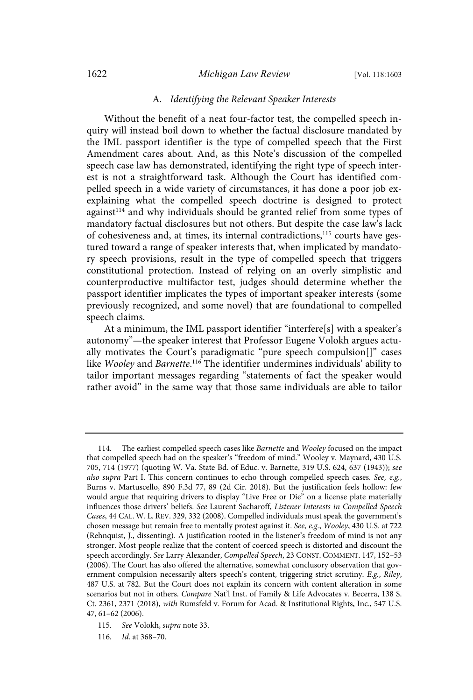#### 1622 *Michigan Law Review* [Vol. 118:1603

#### A. Identifying the Relevant Speaker Interests

Without the benefit of a neat four-factor test, the compelled speech inquiry will instead boil down to whether the factual disclosure mandated by the IML passport identifier is the type of compelled speech that the First Amendment cares about. And, as this Note's discussion of the compelled speech case law has demonstrated, identifying the right type of speech interest is not a straightforward task. Although the Court has identified compelled speech in a wide variety of circumstances, it has done a poor job exexplaining what the compelled speech doctrine is designed to protect against<sup>114</sup> and why individuals should be granted relief from some types of mandatory factual disclosures but not others. But despite the case law's lack of cohesiveness and, at times, its internal contradictions,<sup>115</sup> courts have gestured toward a range of speaker interests that, when implicated by mandatory speech provisions, result in the type of compelled speech that triggers constitutional protection. Instead of relying on an overly simplistic and counterproductive multifactor test, judges should determine whether the passport identifier implicates the types of important speaker interests (some previously recognized, and some novel) that are foundational to compelled speech claims.

At a minimum, the IML passport identifier "interfere[s] with a speaker's autonomy"—the speaker interest that Professor Eugene Volokh argues actually motivates the Court's paradigmatic "pure speech compulsion[]" cases like Wooley and Barnette.<sup>116</sup> The identifier undermines individuals' ability to tailor important messages regarding "statements of fact the speaker would rather avoid" in the same way that those same individuals are able to tailor

<sup>114.</sup> The earliest compelled speech cases like Barnette and Wooley focused on the impact that compelled speech had on the speaker's "freedom of mind." Wooley v. Maynard, 430 U.S. 705, 714 (1977) (quoting W. Va. State Bd. of Educ. v. Barnette, 319 U.S. 624, 637 (1943)); see also supra Part I. This concern continues to echo through compelled speech cases. See,  $e.g.,$ Burns v. Martuscello, 890 F.3d 77, 89 (2d Cir. 2018). But the justification feels hollow: few would argue that requiring drivers to display "Live Free or Die" on a license plate materially influences those drivers' beliefs. See Laurent Sacharoff, Listener Interests in Compelled Speech Cases, 44 CAL. W. L. REV. 329, 332 (2008). Compelled individuals must speak the government's chosen message but remain free to mentally protest against it. See, e.g., Wooley, 430 U.S. at 722 (Rehnquist, J., dissenting). A justification rooted in the listener's freedom of mind is not any stronger. Most people realize that the content of coerced speech is distorted and discount the speech accordingly. See Larry Alexander, Compelled Speech, 23 CONST. COMMENT. 147, 152-53 (2006). The Court has also offered the alternative, somewhat conclusory observation that government compulsion necessarily alters speech's content, triggering strict scrutiny. E.g., Riley, 487 U.S. at 782. But the Court does not explain its concern with content alteration in some scenarios but not in others. Compare Nat'l Inst. of Family & Life Advocates v. Becerra, 138 S. Ct. 2361, 2371 (2018), with Rumsfeld v. Forum for Acad. & Institutional Rights, Inc., 547 U.S. 47, 61–62 (2006).

<sup>115</sup>. See Volokh, supra note 33.

<sup>116</sup>. Id. at 368–70.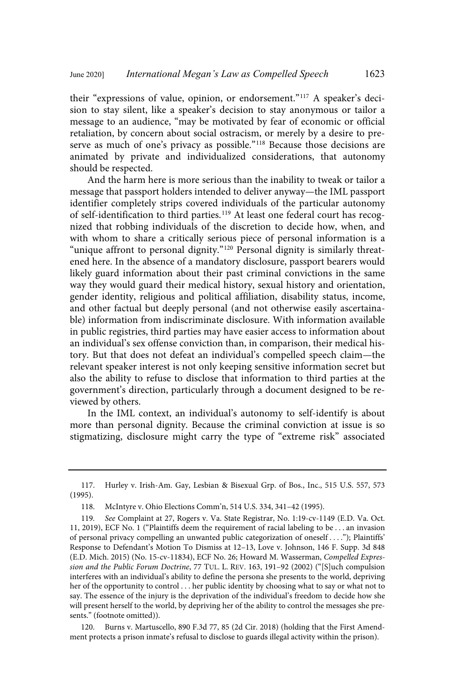their "expressions of value, opinion, or endorsement."<sup>117</sup> A speaker's decision to stay silent, like a speaker's decision to stay anonymous or tailor a message to an audience, "may be motivated by fear of economic or official retaliation, by concern about social ostracism, or merely by a desire to preserve as much of one's privacy as possible."<sup>118</sup> Because those decisions are animated by private and individualized considerations, that autonomy should be respected.

And the harm here is more serious than the inability to tweak or tailor a message that passport holders intended to deliver anyway—the IML passport identifier completely strips covered individuals of the particular autonomy of self-identification to third parties.<sup>119</sup> At least one federal court has recognized that robbing individuals of the discretion to decide how, when, and with whom to share a critically serious piece of personal information is a "unique affront to personal dignity."<sup>120</sup> Personal dignity is similarly threatened here. In the absence of a mandatory disclosure, passport bearers would likely guard information about their past criminal convictions in the same way they would guard their medical history, sexual history and orientation, gender identity, religious and political affiliation, disability status, income, and other factual but deeply personal (and not otherwise easily ascertainable) information from indiscriminate disclosure. With information available in public registries, third parties may have easier access to information about an individual's sex offense conviction than, in comparison, their medical history. But that does not defeat an individual's compelled speech claim—the relevant speaker interest is not only keeping sensitive information secret but also the ability to refuse to disclose that information to third parties at the government's direction, particularly through a document designed to be reviewed by others.

In the IML context, an individual's autonomy to self-identify is about more than personal dignity. Because the criminal conviction at issue is so stigmatizing, disclosure might carry the type of "extreme risk" associated

<sup>117.</sup> Hurley v. Irish-Am. Gay, Lesbian & Bisexual Grp. of Bos., Inc., 515 U.S. 557, 573 (1995).

<sup>118.</sup> McIntyre v. Ohio Elections Comm'n, 514 U.S. 334, 341–42 (1995).

<sup>119</sup>. See Complaint at 27, Rogers v. Va. State Registrar, No. 1:19-cv-1149 (E.D. Va. Oct. 11, 2019), ECF No. 1 ("Plaintiffs deem the requirement of racial labeling to be . . . an invasion of personal privacy compelling an unwanted public categorization of oneself . . . ."); Plaintiffs' Response to Defendant's Motion To Dismiss at 12–13, Love v. Johnson, 146 F. Supp. 3d 848 (E.D. Mich. 2015) (No. 15-cv-11834), ECF No. 26; Howard M. Wasserman, Compelled Expression and the Public Forum Doctrine, 77 TUL. L. REV. 163, 191–92 (2002) ("[S]uch compulsion interferes with an individual's ability to define the persona she presents to the world, depriving her of the opportunity to control . . . her public identity by choosing what to say or what not to say. The essence of the injury is the deprivation of the individual's freedom to decide how she will present herself to the world, by depriving her of the ability to control the messages she presents." (footnote omitted)).

<sup>120.</sup> Burns v. Martuscello, 890 F.3d 77, 85 (2d Cir. 2018) (holding that the First Amendment protects a prison inmate's refusal to disclose to guards illegal activity within the prison).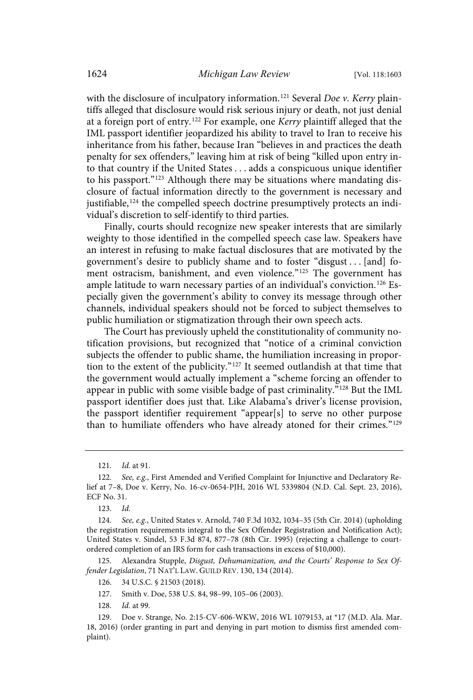with the disclosure of inculpatory information.<sup>121</sup> Several *Doe v. Kerry* plaintiffs alleged that disclosure would risk serious injury or death, not just denial at a foreign port of entry.<sup>122</sup> For example, one Kerry plaintiff alleged that the IML passport identifier jeopardized his ability to travel to Iran to receive his inheritance from his father, because Iran "believes in and practices the death penalty for sex offenders," leaving him at risk of being "killed upon entry into that country if the United States . . . adds a conspicuous unique identifier to his passport."<sup>123</sup> Although there may be situations where mandating disclosure of factual information directly to the government is necessary and justifiable,<sup>124</sup> the compelled speech doctrine presumptively protects an individual's discretion to self-identify to third parties.

Finally, courts should recognize new speaker interests that are similarly weighty to those identified in the compelled speech case law. Speakers have an interest in refusing to make factual disclosures that are motivated by the government's desire to publicly shame and to foster "disgust . . . [and] foment ostracism, banishment, and even violence."<sup>125</sup> The government has ample latitude to warn necessary parties of an individual's conviction.<sup>126</sup> Especially given the government's ability to convey its message through other channels, individual speakers should not be forced to subject themselves to public humiliation or stigmatization through their own speech acts.

The Court has previously upheld the constitutionality of community notification provisions, but recognized that "notice of a criminal conviction subjects the offender to public shame, the humiliation increasing in proportion to the extent of the publicity." <sup>127</sup> It seemed outlandish at that time that the government would actually implement a "scheme forcing an offender to appear in public with some visible badge of past criminality."<sup>128</sup> But the IML passport identifier does just that. Like Alabama's driver's license provision, the passport identifier requirement "appear[s] to serve no other purpose than to humiliate offenders who have already atoned for their crimes."<sup>129</sup>

125. Alexandra Stupple, Disgust, Dehumanization, and the Courts' Response to Sex Offender Legislation, 71 NAT'L LAW. GUILD REV. 130, 134 (2014).

<sup>121</sup>. Id. at 91.

<sup>122</sup>. See, e.g., First Amended and Verified Complaint for Injunctive and Declaratory Relief at 7–8, Doe v. Kerry, No. 16-cv-0654-PJH, 2016 WL 5339804 (N.D. Cal. Sept. 23, 2016), ECF No. 31.

<sup>123</sup>. Id.

<sup>124</sup>. See, e.g., United States v. Arnold, 740 F.3d 1032, 1034–35 (5th Cir. 2014) (upholding the registration requirements integral to the Sex Offender Registration and Notification Act); United States v. Sindel, 53 F.3d 874, 877–78 (8th Cir. 1995) (rejecting a challenge to courtordered completion of an IRS form for cash transactions in excess of \$10,000).

<sup>126.</sup> 34 U.S.C. § 21503 (2018).

<sup>127.</sup> Smith v. Doe, 538 U.S. 84, 98–99, 105–06 (2003).

<sup>128</sup>. Id. at 99.

<sup>129.</sup> Doe v. Strange, No. 2:15-CV-606-WKW, 2016 WL 1079153, at \*17 (M.D. Ala. Mar. 18, 2016) (order granting in part and denying in part motion to dismiss first amended complaint).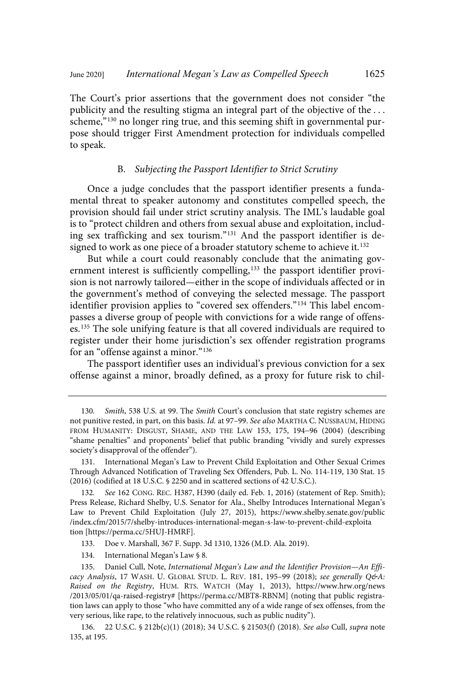The Court's prior assertions that the government does not consider "the publicity and the resulting stigma an integral part of the objective of the ... scheme,"<sup>130</sup> no longer ring true, and this seeming shift in governmental purpose should trigger First Amendment protection for individuals compelled to speak.

## B. Subjecting the Passport Identifier to Strict Scrutiny

Once a judge concludes that the passport identifier presents a fundamental threat to speaker autonomy and constitutes compelled speech, the provision should fail under strict scrutiny analysis. The IML's laudable goal is to "protect children and others from sexual abuse and exploitation, including sex trafficking and sex tourism." <sup>131</sup> And the passport identifier is designed to work as one piece of a broader statutory scheme to achieve it.<sup>132</sup>

But while a court could reasonably conclude that the animating government interest is sufficiently compelling,<sup>133</sup> the passport identifier provision is not narrowly tailored—either in the scope of individuals affected or in the government's method of conveying the selected message. The passport identifier provision applies to "covered sex offenders."<sup>134</sup> This label encompasses a diverse group of people with convictions for a wide range of offenses.<sup>135</sup> The sole unifying feature is that all covered individuals are required to register under their home jurisdiction's sex offender registration programs for an "offense against a minor."<sup>136</sup>

The passport identifier uses an individual's previous conviction for a sex offense against a minor, broadly defined, as a proxy for future risk to chil-

131. International Megan's Law to Prevent Child Exploitation and Other Sexual Crimes Through Advanced Notification of Traveling Sex Offenders, Pub. L. No. 114-119, 130 Stat. 15 (2016) (codified at 18 U.S.C. § 2250 and in scattered sections of 42 U.S.C.).

132. See 162 CONG. REC. H387, H390 (daily ed. Feb. 1, 2016) (statement of Rep. Smith); Press Release, Richard Shelby, U.S. Senator for Ala., Shelby Introduces International Megan's Law to Prevent Child Exploitation (July 27, 2015), https://www.shelby.senate.gov/public /index.cfm/2015/7/shelby-introduces-international-megan-s-law-to-prevent-child-exploita tion [https://perma.cc/5HUJ-HMRF].

133. Doe v. Marshall, 367 F. Supp. 3d 1310, 1326 (M.D. Ala. 2019).

134. International Megan's Law § 8.

135. Daniel Cull, Note, International Megan's Law and the Identifier Provision—An Efficacy Analysis, 17 WASH. U. GLOBAL STUD. L. REV. 181, 195-99 (2018); see generally Q&A: Raised on the Registry, HUM. RTS. WATCH (May 1, 2013), https://www.hrw.org/news /2013/05/01/qa-raised-registry# [https://perma.cc/MBT8-RBNM] (noting that public registration laws can apply to those "who have committed any of a wide range of sex offenses, from the very serious, like rape, to the relatively innocuous, such as public nudity").

136. 22 U.S.C. § 212b(c)(1) (2018); 34 U.S.C. § 21503(f) (2018). See also Cull, supra note 135, at 195.

<sup>130.</sup> Smith, 538 U.S. at 99. The Smith Court's conclusion that state registry schemes are not punitive rested, in part, on this basis. Id. at 97-99. See also MARTHA C. NUSSBAUM, HIDING FROM HUMANITY: DISGUST, SHAME, AND THE LAW 153, 175, 194−96 (2004) (describing "shame penalties" and proponents' belief that public branding "vividly and surely expresses society's disapproval of the offender").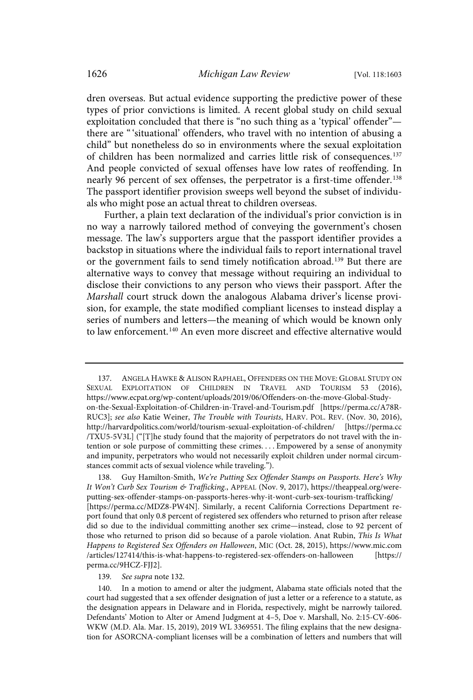dren overseas. But actual evidence supporting the predictive power of these types of prior convictions is limited. A recent global study on child sexual exploitation concluded that there is "no such thing as a 'typical' offender" there are "'situational' offenders, who travel with no intention of abusing a child" but nonetheless do so in environments where the sexual exploitation of children has been normalized and carries little risk of consequences. 137 And people convicted of sexual offenses have low rates of reoffending. In nearly 96 percent of sex offenses, the perpetrator is a first-time offender. 138 The passport identifier provision sweeps well beyond the subset of individuals who might pose an actual threat to children overseas.

Further, a plain text declaration of the individual's prior conviction is in no way a narrowly tailored method of conveying the government's chosen message. The law's supporters argue that the passport identifier provides a backstop in situations where the individual fails to report international travel or the government fails to send timely notification abroad.<sup>139</sup> But there are alternative ways to convey that message without requiring an individual to disclose their convictions to any person who views their passport. After the Marshall court struck down the analogous Alabama driver's license provision, for example, the state modified compliant licenses to instead display a series of numbers and letters—the meaning of which would be known only to law enforcement.<sup>140</sup> An even more discreet and effective alternative would

138. Guy Hamilton-Smith, We're Putting Sex Offender Stamps on Passports. Here's Why It Won't Curb Sex Tourism & Trafficking., APPEAL (Nov. 9, 2017), https://theappeal.org/wereputting-sex-offender-stamps-on-passports-heres-why-it-wont-curb-sex-tourism-trafficking/ [https://perma.cc/MDZ8-PW4N]. Similarly, a recent California Corrections Department report found that only 0.8 percent of registered sex offenders who returned to prison after release did so due to the individual committing another sex crime—instead, close to 92 percent of those who returned to prison did so because of a parole violation. Anat Rubin, This Is What Happens to Registered Sex Offenders on Halloween, MIC (Oct. 28, 2015), https://www.mic.com /articles/127414/this-is-what-happens-to-registered-sex-offenders-on-halloween [https:// perma.cc/9HCZ-FJJ2].

139. See supra note 132.

140. In a motion to amend or alter the judgment, Alabama state officials noted that the court had suggested that a sex offender designation of just a letter or a reference to a statute, as the designation appears in Delaware and in Florida, respectively, might be narrowly tailored. Defendants' Motion to Alter or Amend Judgment at 4–5, Doe v. Marshall, No. 2:15-CV-606- WKW (M.D. Ala. Mar. 15, 2019), 2019 WL 3369551. The filing explains that the new designation for ASORCNA-compliant licenses will be a combination of letters and numbers that will

<sup>137.</sup> ANGELA HAWKE & ALISON RAPHAEL, OFFENDERS ON THE MOVE: GLOBAL STUDY ON SEXUAL EXPLOITATION OF CHILDREN IN TRAVEL AND TOURISM 53 (2016), https://www.ecpat.org/wp-content/uploads/2019/06/Offenders-on-the-move-Global-Studyon-the-Sexual-Exploitation-of-Children-in-Travel-and-Tourism.pdf [https://perma.cc/A78R-RUC3]; see also Katie Weiner, The Trouble with Tourists, HARV. POL. REV. (Nov. 30, 2016), http://harvardpolitics.com/world/tourism-sexual-exploitation-of-children/ [https://perma.cc /TXU5-5V3L] ("[T]he study found that the majority of perpetrators do not travel with the intention or sole purpose of committing these crimes. . . . Empowered by a sense of anonymity and impunity, perpetrators who would not necessarily exploit children under normal circumstances commit acts of sexual violence while traveling.").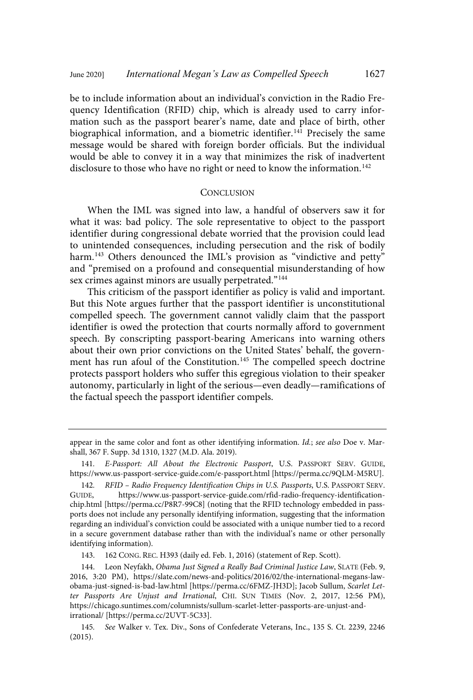be to include information about an individual's conviction in the Radio Frequency Identification (RFID) chip, which is already used to carry information such as the passport bearer's name, date and place of birth, other biographical information, and a biometric identifier.<sup>141</sup> Precisely the same message would be shared with foreign border officials. But the individual would be able to convey it in a way that minimizes the risk of inadvertent disclosure to those who have no right or need to know the information.<sup>142</sup>

#### **CONCLUSION**

When the IML was signed into law, a handful of observers saw it for what it was: bad policy. The sole representative to object to the passport identifier during congressional debate worried that the provision could lead to unintended consequences, including persecution and the risk of bodily harm. <sup>143</sup> Others denounced the IML's provision as "vindictive and petty" and "premised on a profound and consequential misunderstanding of how sex crimes against minors are usually perpetrated."<sup>144</sup>

This criticism of the passport identifier as policy is valid and important. But this Note argues further that the passport identifier is unconstitutional compelled speech. The government cannot validly claim that the passport identifier is owed the protection that courts normally afford to government speech. By conscripting passport-bearing Americans into warning others about their own prior convictions on the United States' behalf, the government has run afoul of the Constitution. <sup>145</sup> The compelled speech doctrine protects passport holders who suffer this egregious violation to their speaker autonomy, particularly in light of the serious—even deadly—ramifications of the factual speech the passport identifier compels.

appear in the same color and font as other identifying information. Id.; see also Doe v. Marshall, 367 F. Supp. 3d 1310, 1327 (M.D. Ala. 2019).

<sup>141</sup>. E-Passport: All About the Electronic Passport, U.S. PASSPORT SERV. GUIDE, https://www.us-passport-service-guide.com/e-passport.html [https://perma.cc/9QLM-M5RU].

<sup>142.</sup> RFID – Radio Frequency Identification Chips in U.S. Passports, U.S. PASSPORT SERV.<br>GUIDE. https://www.us-passport-service-guide.com/rfid-radio-frequency-identificationhttps://www.us-passport-service-guide.com/rfid-radio-frequency-identificationchip.html [https://perma.cc/P8R7-99C8] (noting that the RFID technology embedded in passports does not include any personally identifying information, suggesting that the information regarding an individual's conviction could be associated with a unique number tied to a record in a secure government database rather than with the individual's name or other personally identifying information).

<sup>143.</sup> 162 CONG. REC. H393 (daily ed. Feb. 1, 2016) (statement of Rep. Scott).

<sup>144.</sup> Leon Neyfakh, Obama Just Signed a Really Bad Criminal Justice Law, SLATE (Feb. 9, 2016, 3:20 PM), https://slate.com/news-and-politics/2016/02/the-international-megans-lawobama-just-signed-is-bad-law.html [https://perma.cc/6FMZ-JH3D]; Jacob Sullum, Scarlet Letter Passports Are Unjust and Irrational, CHI. SUN TIMES (Nov. 2, 2017, 12:56 PM), https://chicago.suntimes.com/columnists/sullum-scarlet-letter-passports-are-unjust-andirrational/ [https://perma.cc/2UVT-5C33].

<sup>145</sup>. See Walker v. Tex. Div., Sons of Confederate Veterans, Inc., 135 S. Ct. 2239, 2246 (2015).